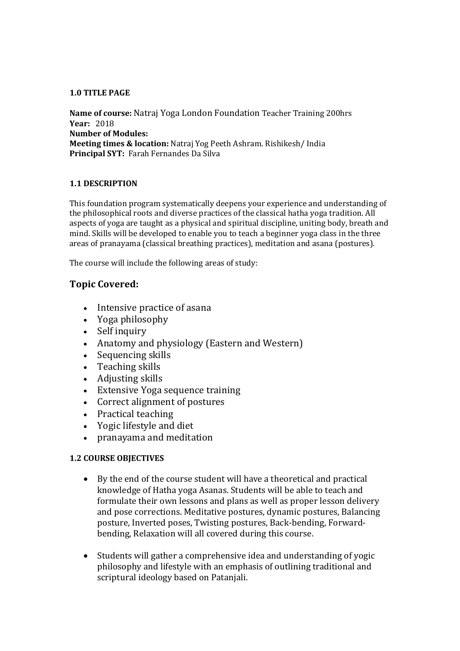#### **1.0 TITLE PAGE**

**Name of course:** Natraj Yoga London Foundation Teacher Training 200hrs **Year:** 2018 **Number of Modules: Meeting times & location:** Natraj Yog Peeth Ashram. Rishikesh/ India **Principal SYT:** Farah Fernandes Da Silva

### **1.1 DESCRIPTION**

This foundation program systematically deepens your experience and understanding of the philosophical roots and diverse practices of the classical hatha yoga tradition. All aspects of yoga are taught as a physical and spiritual discipline, uniting body, breath and mind. Skills will be developed to enable you to teach a beginner yoga class in the three areas of pranayama (classical breathing practices), meditation and asana (postures).

The course will include the following areas of study:

# **Topic Covered:**

- Intensive practice of asana
- Yoga philosophy
- Self inquiry
- Anatomy and physiology (Eastern and Western)
- Sequencing skills
- Teaching skills
- Adjusting skills
- Extensive Yoga sequence training
- Correct alignment of postures
- Practical teaching
- Yogic lifestyle and diet
- pranayama and meditation

## **1.2 COURSE OBJECTIVES**

- By the end of the course student will have a theoretical and practical knowledge of Hatha yoga Asanas. Students will be able to teach and formulate their own lessons and plans as well as proper lesson delivery and pose corrections. Meditative postures, dynamic postures, Balancing posture, Inverted poses, Twisting postures, Back-bending, Forwardbending, Relaxation will all covered during this course.
- Students will gather a comprehensive idea and understanding of yogic philosophy and lifestyle with an emphasis of outlining traditional and scriptural ideology based on Patanjali.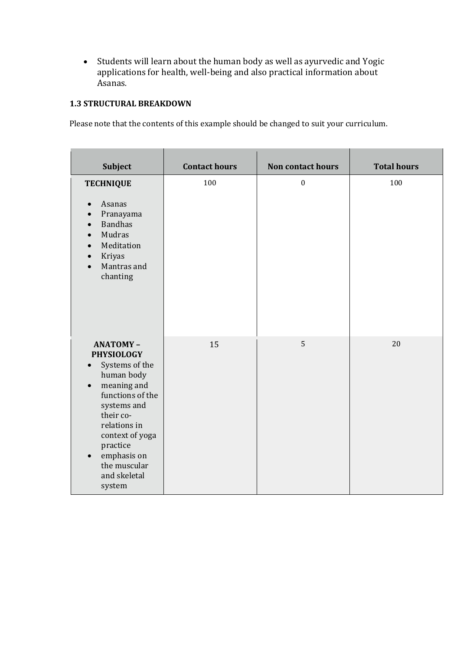Students will learn about the human body as well as ayurvedic and Yogic applications for health, well-being and also practical information about Asanas.

# **1.3 STRUCTURAL BREAKDOWN**

Please note that the contents of this example should be changed to suit your curriculum.

| <b>Subject</b>                                                                                                                                                                                                                                                                     | <b>Contact hours</b> | <b>Non contact hours</b> | <b>Total hours</b> |
|------------------------------------------------------------------------------------------------------------------------------------------------------------------------------------------------------------------------------------------------------------------------------------|----------------------|--------------------------|--------------------|
| <b>TECHNIQUE</b><br>Asanas<br>$\bullet$                                                                                                                                                                                                                                            | 100                  | $\boldsymbol{0}$         | 100                |
| Pranayama<br><b>Bandhas</b><br>$\bullet$<br>Mudras<br>$\bullet$<br>Meditation<br>$\bullet$<br>Kriyas<br>Mantras and<br>$\bullet$<br>chanting                                                                                                                                       |                      |                          |                    |
| <b>ANATOMY-</b><br><b>PHYSIOLOGY</b><br>Systems of the<br>$\bullet$<br>human body<br>meaning and<br>$\bullet$<br>functions of the<br>systems and<br>their co-<br>relations in<br>context of yoga<br>practice<br>emphasis on<br>$\bullet$<br>the muscular<br>and skeletal<br>system | 15                   | 5                        | 20                 |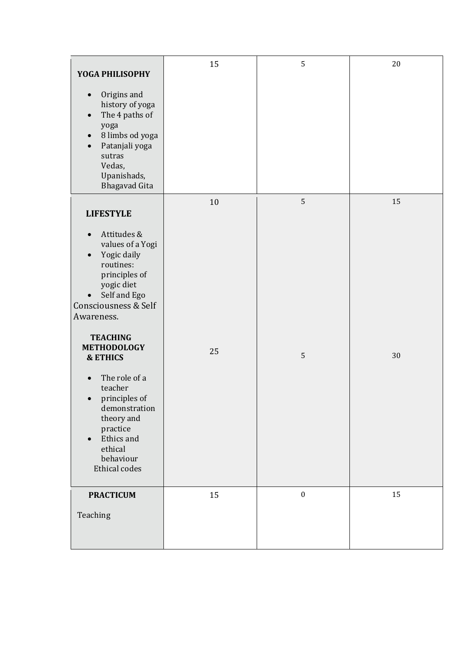| YOGA PHILISOPHY<br>Origins and<br>$\bullet$<br>history of yoga<br>The 4 paths of<br>$\bullet$<br>yoga                                                                                                                                 | 15     | 5                | 20 |
|---------------------------------------------------------------------------------------------------------------------------------------------------------------------------------------------------------------------------------------|--------|------------------|----|
| 8 limbs od yoga<br>$\bullet$<br>Patanjali yoga<br>$\bullet$<br>sutras<br>Vedas,<br>Upanishads,<br><b>Bhagavad Gita</b>                                                                                                                |        |                  |    |
| <b>LIFESTYLE</b>                                                                                                                                                                                                                      | $10\,$ | 5                | 15 |
| Attitudes &<br>$\bullet$<br>values of a Yogi<br>Yogic daily<br>$\bullet$<br>routines:<br>principles of<br>yogic diet<br>Self and Ego<br>$\bullet$<br>Consciousness & Self<br>Awareness.                                               |        |                  |    |
| <b>TEACHING</b><br><b>METHODOLOGY</b><br><b>&amp; ETHICS</b><br>The role of a<br>$\bullet$<br>teacher<br>principles of<br>demonstration<br>theory and<br>practice<br>Ethics and<br>$\bullet$<br>ethical<br>behaviour<br>Ethical codes | 25     | 5                | 30 |
| <b>PRACTICUM</b><br>Teaching                                                                                                                                                                                                          | 15     | $\boldsymbol{0}$ | 15 |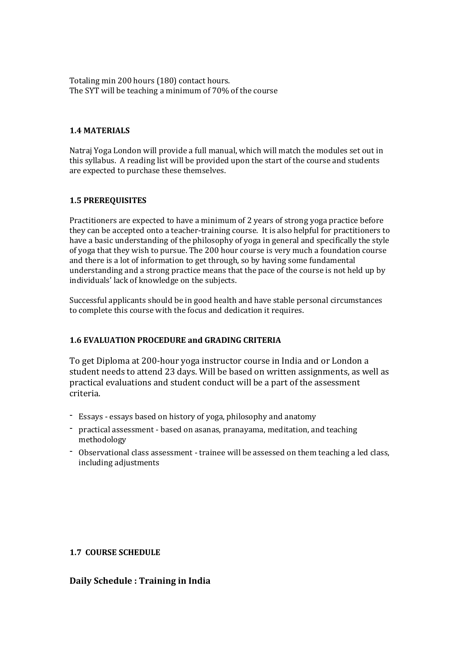Totaling min 200 hours (180) contact hours. The SYT will be teaching a minimum of 70% of the course

#### **1.4 MATERIALS**

Natraj Yoga London will provide a full manual, which will match the modules set out in this syllabus. A reading list will be provided upon the start of the course and students are expected to purchase these themselves.

#### **1.5 PREREQUISITES**

Practitioners are expected to have a minimum of 2 years of strong yoga practice before they can be accepted onto a teacher-training course. It is also helpful for practitioners to have a basic understanding of the philosophy of yoga in general and specifically the style of yoga that they wish to pursue. The 200 hour course is very much a foundation course and there is a lot of information to get through, so by having some fundamental understanding and a strong practice means that the pace of the course is not held up by individuals' lack of knowledge on the subjects.

Successful applicants should be in good health and have stable personal circumstances to complete this course with the focus and dedication it requires.

#### **1.6 EVALUATION PROCEDURE and GRADING CRITERIA**

To get Diploma at 200-hour yoga instructor course in India and or London a student needs to attend 23 days. Will be based on written assignments, as well as practical evaluations and student conduct will be a part of the assessment criteria.

- Essays essays based on history of yoga, philosophy and anatomy
- practical assessment based on asanas, pranayama, meditation, and teaching methodology
- Observational class assessment trainee will be assessed on them teaching a led class, including adjustments

#### **1.7 COURSE SCHEDULE**

#### **Daily Schedule : Training in India**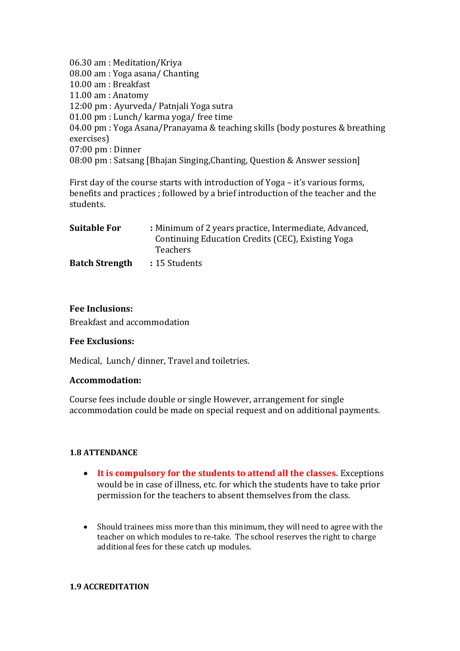06.30 am : Meditation/Kriya 08.00 am : Yoga asana/ Chanting 10.00 am : Breakfast 11.00 am : Anatomy 12:00 pm : Ayurveda/ Patnjali Yoga sutra 01.00 pm : Lunch/ karma yoga/ free time 04.00 pm : Yoga Asana/Pranayama & teaching skills (body postures & breathing exercises) 07:00 pm : Dinner 08:00 pm : Satsang [Bhajan Singing,Chanting, Question & Answer session]

First day of the course starts with introduction of Yoga – it's various forms, benefits and practices ; followed by a brief introduction of the teacher and the students.

| <b>Suitable For</b>   | : Minimum of 2 years practice, Intermediate, Advanced, |
|-----------------------|--------------------------------------------------------|
|                       | Continuing Education Credits (CEC), Existing Yoga      |
|                       | <b>Teachers</b>                                        |
| <b>Batch Strength</b> | : 15 Students                                          |

### **Fee Inclusions:**

Breakfast and accommodation

#### **Fee Exclusions:**

Medical, Lunch/ dinner, Travel and toiletries.

#### **Accommodation:**

Course fees include double or single However, arrangement for single accommodation could be made on special request and on additional payments.

#### **1.8 ATTENDANCE**

- **It is compulsory for the students to attend all the classes.** Exceptions would be in case of illness, etc. for which the students have to take prior permission for the teachers to absent themselves from the class.
- Should trainees miss more than this minimum, they will need to agree with the teacher on which modules to re-take. The school reserves the right to charge additional fees for these catch up modules.

#### **1.9 ACCREDITATION**